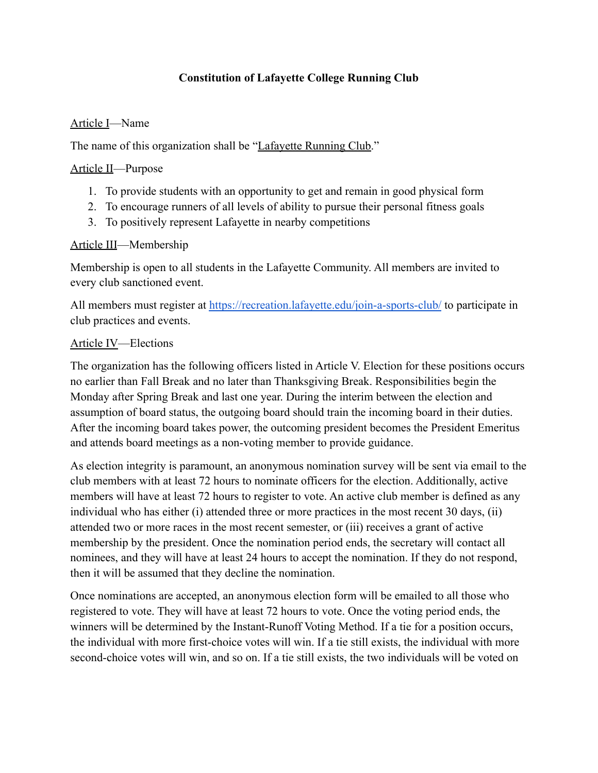## **Constitution of Lafayette College Running Club**

### Article I—Name

The name of this organization shall be "Lafayette Running Club."

#### Article II—Purpose

- 1. To provide students with an opportunity to get and remain in good physical form
- 2. To encourage runners of all levels of ability to pursue their personal fitness goals
- 3. To positively represent Lafayette in nearby competitions

### Article III—Membership

Membership is open to all students in the Lafayette Community. All members are invited to every club sanctioned event.

All members must register at <https://recreation.lafayette.edu/join-a-sports-club/> to participate in club practices and events.

### Article IV—Elections

The organization has the following officers listed in Article V. Election for these positions occurs no earlier than Fall Break and no later than Thanksgiving Break. Responsibilities begin the Monday after Spring Break and last one year. During the interim between the election and assumption of board status, the outgoing board should train the incoming board in their duties. After the incoming board takes power, the outcoming president becomes the President Emeritus and attends board meetings as a non-voting member to provide guidance.

As election integrity is paramount, an anonymous nomination survey will be sent via email to the club members with at least 72 hours to nominate officers for the election. Additionally, active members will have at least 72 hours to register to vote. An active club member is defined as any individual who has either (i) attended three or more practices in the most recent 30 days, (ii) attended two or more races in the most recent semester, or (iii) receives a grant of active membership by the president. Once the nomination period ends, the secretary will contact all nominees, and they will have at least 24 hours to accept the nomination. If they do not respond, then it will be assumed that they decline the nomination.

Once nominations are accepted, an anonymous election form will be emailed to all those who registered to vote. They will have at least 72 hours to vote. Once the voting period ends, the winners will be determined by the Instant-Runoff Voting Method. If a tie for a position occurs, the individual with more first-choice votes will win. If a tie still exists, the individual with more second-choice votes will win, and so on. If a tie still exists, the two individuals will be voted on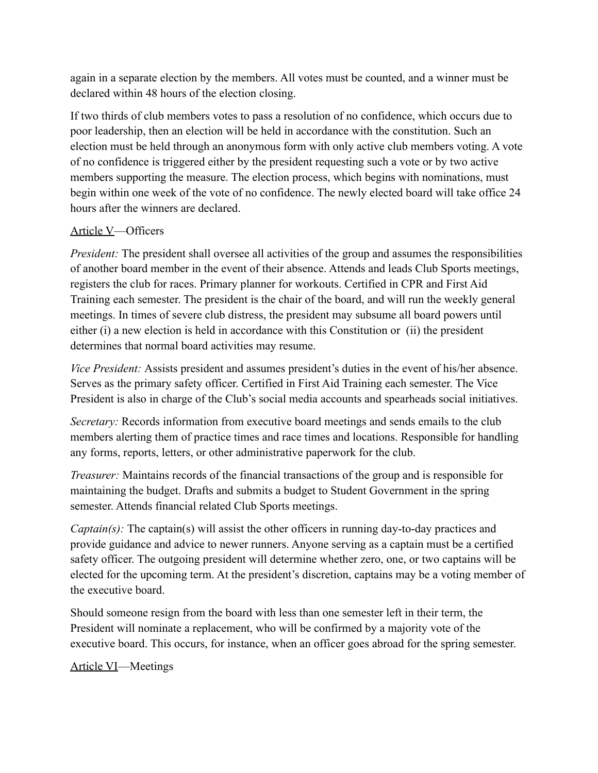again in a separate election by the members. All votes must be counted, and a winner must be declared within 48 hours of the election closing.

If two thirds of club members votes to pass a resolution of no confidence, which occurs due to poor leadership, then an election will be held in accordance with the constitution. Such an election must be held through an anonymous form with only active club members voting. A vote of no confidence is triggered either by the president requesting such a vote or by two active members supporting the measure. The election process, which begins with nominations, must begin within one week of the vote of no confidence. The newly elected board will take office 24 hours after the winners are declared.

### Article V—Officers

*President:* The president shall oversee all activities of the group and assumes the responsibilities of another board member in the event of their absence. Attends and leads Club Sports meetings, registers the club for races. Primary planner for workouts. Certified in CPR and First Aid Training each semester. The president is the chair of the board, and will run the weekly general meetings. In times of severe club distress, the president may subsume all board powers until either (i) a new election is held in accordance with this Constitution or (ii) the president determines that normal board activities may resume.

*Vice President:* Assists president and assumes president's duties in the event of his/her absence. Serves as the primary safety officer. Certified in First Aid Training each semester. The Vice President is also in charge of the Club's social media accounts and spearheads social initiatives.

*Secretary:* Records information from executive board meetings and sends emails to the club members alerting them of practice times and race times and locations. Responsible for handling any forms, reports, letters, or other administrative paperwork for the club.

*Treasurer:* Maintains records of the financial transactions of the group and is responsible for maintaining the budget. Drafts and submits a budget to Student Government in the spring semester. Attends financial related Club Sports meetings.

*Captain(s)*: The captain(s) will assist the other officers in running day-to-day practices and provide guidance and advice to newer runners. Anyone serving as a captain must be a certified safety officer. The outgoing president will determine whether zero, one, or two captains will be elected for the upcoming term. At the president's discretion, captains may be a voting member of the executive board.

Should someone resign from the board with less than one semester left in their term, the President will nominate a replacement, who will be confirmed by a majority vote of the executive board. This occurs, for instance, when an officer goes abroad for the spring semester.

### Article VI—Meetings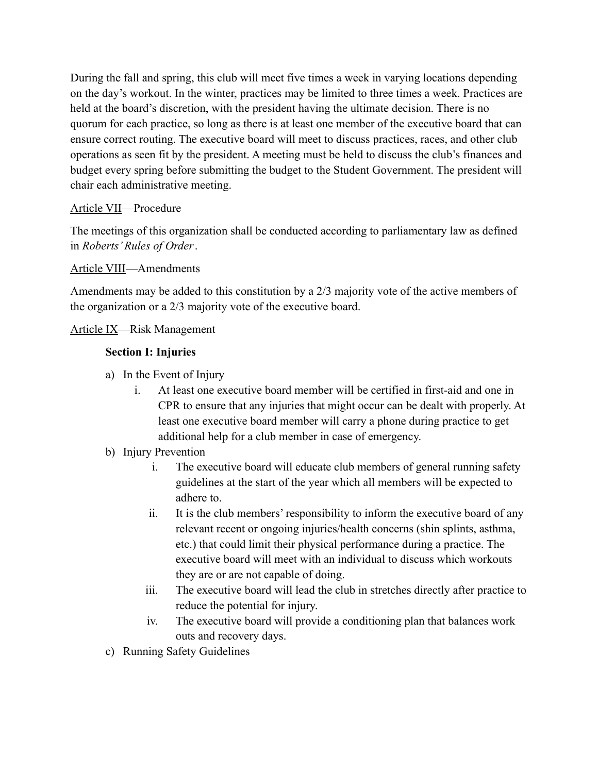During the fall and spring, this club will meet five times a week in varying locations depending on the day's workout. In the winter, practices may be limited to three times a week. Practices are held at the board's discretion, with the president having the ultimate decision. There is no quorum for each practice, so long as there is at least one member of the executive board that can ensure correct routing. The executive board will meet to discuss practices, races, and other club operations as seen fit by the president. A meeting must be held to discuss the club's finances and budget every spring before submitting the budget to the Student Government. The president will chair each administrative meeting.

# Article VII—Procedure

The meetings of this organization shall be conducted according to parliamentary law as defined in *Roberts' Rules of Order*.

# Article VIII—Amendments

Amendments may be added to this constitution by a 2/3 majority vote of the active members of the organization or a 2/3 majority vote of the executive board.

### Article IX—Risk Management

### **Section I: Injuries**

- a) In the Event of Injury
	- i. At least one executive board member will be certified in first-aid and one in CPR to ensure that any injuries that might occur can be dealt with properly. At least one executive board member will carry a phone during practice to get additional help for a club member in case of emergency.

### b) Injury Prevention

- i. The executive board will educate club members of general running safety guidelines at the start of the year which all members will be expected to adhere to.
- ii. It is the club members' responsibility to inform the executive board of any relevant recent or ongoing injuries/health concerns (shin splints, asthma, etc.) that could limit their physical performance during a practice. The executive board will meet with an individual to discuss which workouts they are or are not capable of doing.
- iii. The executive board will lead the club in stretches directly after practice to reduce the potential for injury.
- iv. The executive board will provide a conditioning plan that balances work outs and recovery days.
- c) Running Safety Guidelines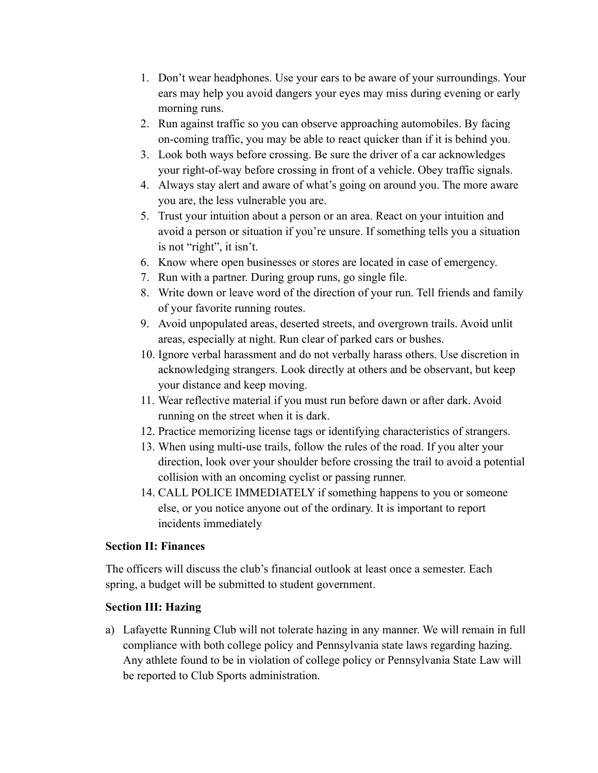- 1. Don't wear headphones. Use your ears to be aware of your surroundings. Your ears may help you avoid dangers your eyes may miss during evening or early morning runs.
- 2. Run against traffic so you can observe approaching automobiles. By facing on-coming traffic, you may be able to react quicker than if it is behind you.
- 3. Look both ways before crossing. Be sure the driver of a car acknowledges your right-of-way before crossing in front of a vehicle. Obey traffic signals.
- 4. Always stay alert and aware of what's going on around you. The more aware you are, the less vulnerable you are.
- 5. Trust your intuition about a person or an area. React on your intuition and avoid a person or situation if you're unsure. If something tells you a situation is not "right", it isn't.
- 6. Know where open businesses or stores are located in case of emergency.
- 7. Run with a partner. During group runs, go single file.
- 8. Write down or leave word of the direction of your run. Tell friends and family of your favorite running routes.
- 9. Avoid unpopulated areas, deserted streets, and overgrown trails. Avoid unlit areas, especially at night. Run clear of parked cars or bushes.
- 10. Ignore verbal harassment and do not verbally harass others. Use discretion in acknowledging strangers. Look directly at others and be observant, but keep your distance and keep moving.
- 11. Wear reflective material if you must run before dawn or after dark. Avoid running on the street when it is dark.
- 12. Practice memorizing license tags or identifying characteristics of strangers.
- 13. When using multi-use trails, follow the rules of the road. If you alter your direction, look over your shoulder before crossing the trail to avoid a potential collision with an oncoming cyclist or passing runner.
- 14. CALL POLICE IMMEDIATELY if something happens to you or someone else, or you notice anyone out of the ordinary. It is important to report incidents immediately

# **Section II: Finances**

The officers will discuss the club's financial outlook at least once a semester. Each spring, a budget will be submitted to student government.

# **Section III: Hazing**

a) Lafayette Running Club will not tolerate hazing in any manner. We will remain in full compliance with both college policy and Pennsylvania state laws regarding hazing. Any athlete found to be in violation of college policy or Pennsylvania State Law will be reported to Club Sports administration.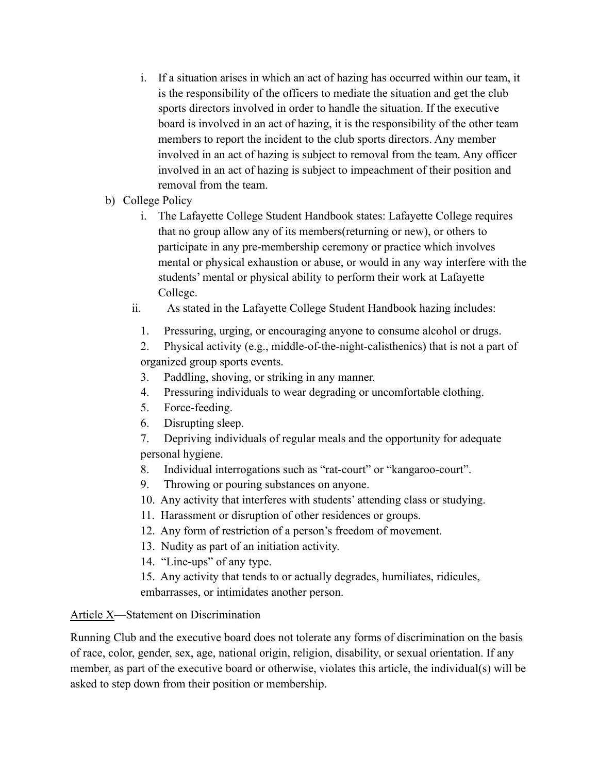- i. If a situation arises in which an act of hazing has occurred within our team, it is the responsibility of the officers to mediate the situation and get the club sports directors involved in order to handle the situation. If the executive board is involved in an act of hazing, it is the responsibility of the other team members to report the incident to the club sports directors. Any member involved in an act of hazing is subject to removal from the team. Any officer involved in an act of hazing is subject to impeachment of their position and removal from the team.
- b) College Policy
	- i. The Lafayette College Student Handbook states: Lafayette College requires that no group allow any of its members(returning or new), or others to participate in any pre-membership ceremony or practice which involves mental or physical exhaustion or abuse, or would in any way interfere with the students' mental or physical ability to perform their work at Lafayette College.
	- ii. As stated in the Lafayette College Student Handbook hazing includes:
		- 1. Pressuring, urging, or encouraging anyone to consume alcohol or drugs.

2. Physical activity (e.g., middle-of-the-night-calisthenics) that is not a part of organized group sports events.

- 3. Paddling, shoving, or striking in any manner.
- 4. Pressuring individuals to wear degrading or uncomfortable clothing.
- 5. Force-feeding.
- 6. Disrupting sleep.
- 7. Depriving individuals of regular meals and the opportunity for adequate personal hygiene.
- 8. Individual interrogations such as "rat-court" or "kangaroo-court".
- 9. Throwing or pouring substances on anyone.
- 10. Any activity that interferes with students' attending class or studying.
- 11. Harassment or disruption of other residences or groups.
- 12. Any form of restriction of a person's freedom of movement.
- 13. Nudity as part of an initiation activity.
- 14. "Line-ups" of any type.
- 15. Any activity that tends to or actually degrades, humiliates, ridicules, embarrasses, or intimidates another person.

# Article X—Statement on Discrimination

Running Club and the executive board does not tolerate any forms of discrimination on the basis of race, color, gender, sex, age, national origin, religion, disability, or sexual orientation. If any member, as part of the executive board or otherwise, violates this article, the individual(s) will be asked to step down from their position or membership.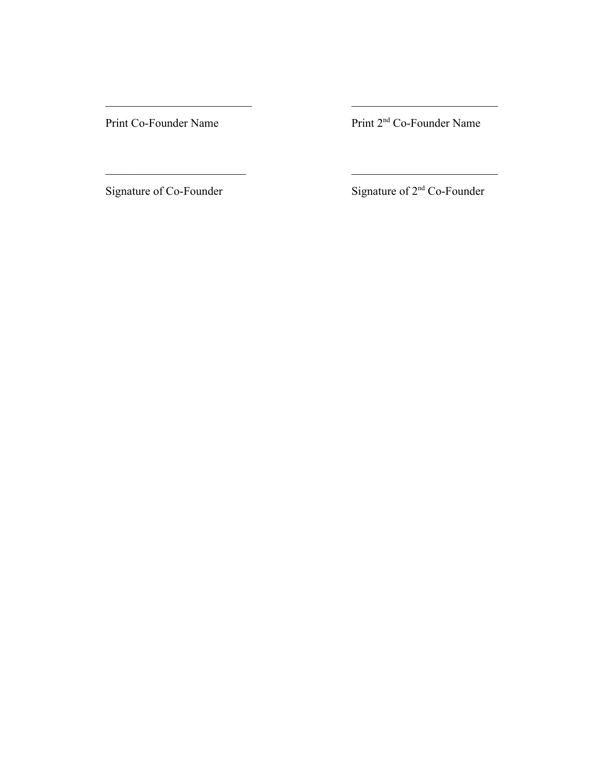Print Co-Founder Name Print 2<sup>nd</sup> Co-Founder Name

 $\mathcal{L}_\text{max}$  and the contract of the contract of the contract of the contract of the contract of the contract of the contract of the contract of the contract of the contract of the contract of the contract of the contrac

 $\mathcal{L}_\text{max}$  and the contract of the contract of the contract of the contract of the contract of the contract of the contract of the contract of the contract of the contract of the contract of the contract of the contrac

Signature of Co-Founder Signature of 2<sup>nd</sup> Co-Founder